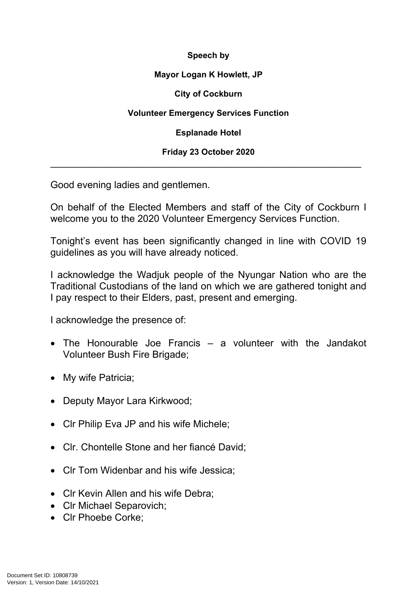## **Speech by**

## **Mayor Logan K Howlett, JP**

## **City of Cockburn**

# **Volunteer Emergency Services Function**

**Esplanade Hotel**

# **Friday 23 October 2020** \_\_\_\_\_\_\_\_\_\_\_\_\_\_\_\_\_\_\_\_\_\_\_\_\_\_\_\_\_\_\_\_\_\_\_\_\_\_\_\_\_\_\_\_\_\_\_\_\_\_\_\_\_\_\_\_\_

Good evening ladies and gentlemen.

On behalf of the Elected Members and staff of the City of Cockburn I welcome you to the 2020 Volunteer Emergency Services Function.

Tonight's event has been significantly changed in line with COVID 19 guidelines as you will have already noticed.

I acknowledge the Wadjuk people of the Nyungar Nation who are the Traditional Custodians of the land on which we are gathered tonight and I pay respect to their Elders, past, present and emerging.

I acknowledge the presence of:

- The Honourable Joe Francis a volunteer with the Jandakot Volunteer Bush Fire Brigade;
- My wife Patricia;
- Deputy Mayor Lara Kirkwood;
- CIr Philip Eva JP and his wife Michele;
- Clr. Chontelle Stone and her fiancé David;
- Clr Tom Widenbar and his wife Jessica:
- Clr Kevin Allen and his wife Debra:
- Clr Michael Separovich:
- Clr Phoebe Corke: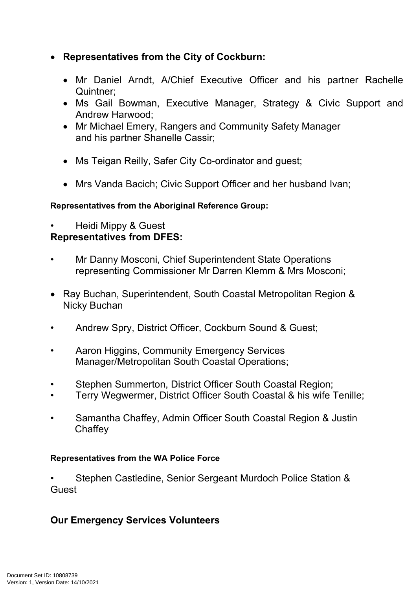# **Representatives from the City of Cockburn:**

- Mr Daniel Arndt, A/Chief Executive Officer and his partner Rachelle Quintner;
- Ms Gail Bowman, Executive Manager, Strategy & Civic Support and Andrew Harwood;
- Mr Michael Emery, Rangers and Community Safety Manager and his partner Shanelle Cassir;
- Ms Teigan Reilly, Safer City Co-ordinator and guest;
- Mrs Vanda Bacich; Civic Support Officer and her husband Ivan;

# **Representatives from the Aboriginal Reference Group:**

• Heidi Mippy & Guest

# **Representatives from DFES:**

- Mr Danny Mosconi, Chief Superintendent State Operations representing Commissioner Mr Darren Klemm & Mrs Mosconi;
- Ray Buchan, Superintendent, South Coastal Metropolitan Region & Nicky Buchan
- Andrew Spry, District Officer, Cockburn Sound & Guest;
- Aaron Higgins, Community Emergency Services Manager/Metropolitan South Coastal Operations;
- Stephen Summerton, District Officer South Coastal Region;
- Terry Wegwermer, District Officer South Coastal & his wife Tenille;
- Samantha Chaffey, Admin Officer South Coastal Region & Justin **Chaffey**

# **Representatives from the WA Police Force**

• Stephen Castledine, Senior Sergeant Murdoch Police Station & **Guest** 

# **Our Emergency Services Volunteers**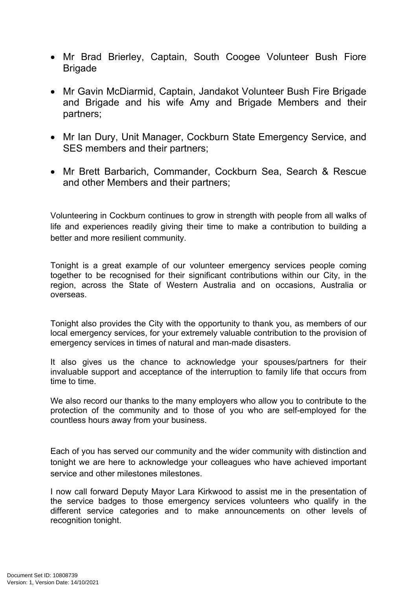- Mr Brad Brierley, Captain, South Coogee Volunteer Bush Fiore Brigade
- Mr Gavin McDiarmid, Captain, Jandakot Volunteer Bush Fire Brigade and Brigade and his wife Amy and Brigade Members and their partners;
- Mr Ian Dury, Unit Manager, Cockburn State Emergency Service, and SES members and their partners;
- Mr Brett Barbarich, Commander, Cockburn Sea, Search & Rescue and other Members and their partners;

Volunteering in Cockburn continues to grow in strength with people from all walks of life and experiences readily giving their time to make a contribution to building a better and more resilient community.

Tonight is a great example of our volunteer emergency services people coming together to be recognised for their significant contributions within our City, in the region, across the State of Western Australia and on occasions, Australia or overseas.

Tonight also provides the City with the opportunity to thank you, as members of our local emergency services, for your extremely valuable contribution to the provision of emergency services in times of natural and man-made disasters.

It also gives us the chance to acknowledge your spouses/partners for their invaluable support and acceptance of the interruption to family life that occurs from time to time.

We also record our thanks to the many employers who allow you to contribute to the protection of the community and to those of you who are self-employed for the countless hours away from your business.

Each of you has served our community and the wider community with distinction and tonight we are here to acknowledge your colleagues who have achieved important service and other milestones milestones.

I now call forward Deputy Mayor Lara Kirkwood to assist me in the presentation of the service badges to those emergency services volunteers who qualify in the different service categories and to make announcements on other levels of recognition tonight.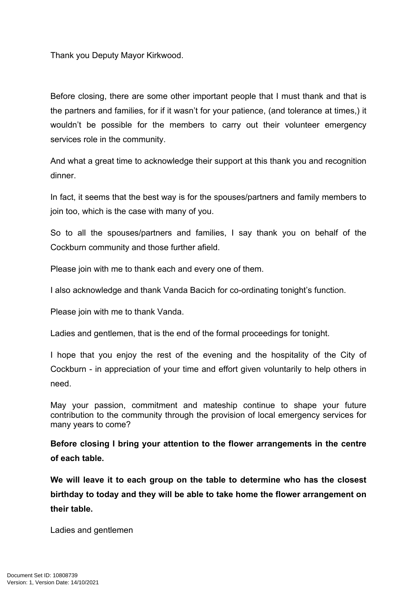Thank you Deputy Mayor Kirkwood.

Before closing, there are some other important people that I must thank and that is the partners and families, for if it wasn't for your patience, (and tolerance at times,) it wouldn't be possible for the members to carry out their volunteer emergency services role in the community.

And what a great time to acknowledge their support at this thank you and recognition dinner.

In fact, it seems that the best way is for the spouses/partners and family members to join too, which is the case with many of you.

So to all the spouses/partners and families, I say thank you on behalf of the Cockburn community and those further afield.

Please join with me to thank each and every one of them.

I also acknowledge and thank Vanda Bacich for co-ordinating tonight's function.

Please join with me to thank Vanda.

Ladies and gentlemen, that is the end of the formal proceedings for tonight.

I hope that you enjoy the rest of the evening and the hospitality of the City of Cockburn - in appreciation of your time and effort given voluntarily to help others in need.

May your passion, commitment and mateship continue to shape your future contribution to the community through the provision of local emergency services for many years to come?

**Before closing I bring your attention to the flower arrangements in the centre of each table.**

**We will leave it to each group on the table to determine who has the closest birthday to today and they will be able to take home the flower arrangement on their table.**

Ladies and gentlemen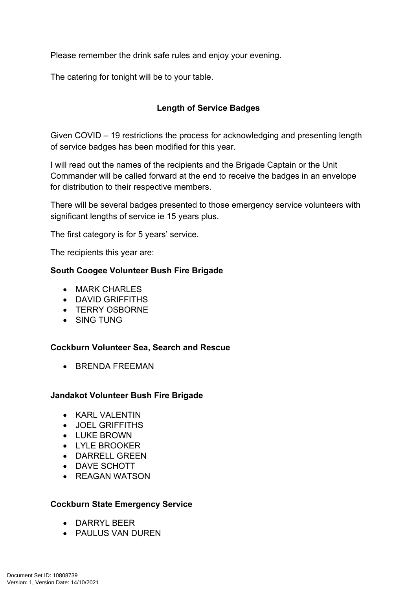Please remember the drink safe rules and enjoy your evening.

The catering for tonight will be to your table.

# **Length of Service Badges**

Given COVID – 19 restrictions the process for acknowledging and presenting length of service badges has been modified for this year.

I will read out the names of the recipients and the Brigade Captain or the Unit Commander will be called forward at the end to receive the badges in an envelope for distribution to their respective members.

There will be several badges presented to those emergency service volunteers with significant lengths of service ie 15 years plus.

The first category is for 5 years' service.

The recipients this year are:

#### **South Coogee Volunteer Bush Fire Brigade**

- MARK CHARLES
- DAVID GRIFFITHS
- TERRY OSBORNE
- SING TUNG

#### **Cockburn Volunteer Sea, Search and Rescue**

**• BRENDA FREEMAN** 

#### **Jandakot Volunteer Bush Fire Brigade**

- KARL VALENTIN
- JOEL GRIFFITHS
- LUKE BROWN
- LYLE BROOKER
- DARRELL GREEN
- DAVE SCHOTT
- REAGAN WATSON

#### **Cockburn State Emergency Service**

- DARRYL BEER
- **PAULUS VAN DUREN**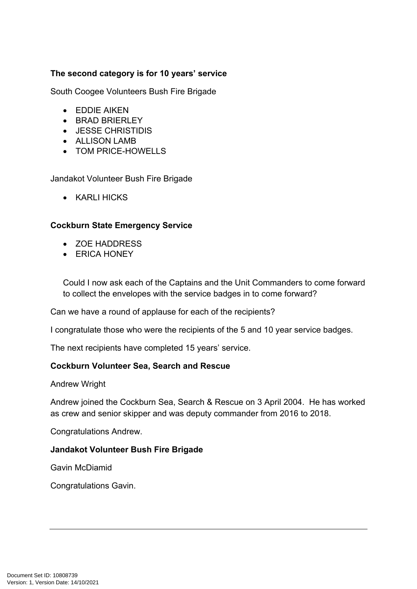# **The second category is for 10 years' service**

South Coogee Volunteers Bush Fire Brigade

- EDDIE AIKEN
- BRAD BRIERI FY
- JESSE CHRISTIDIS
- ALLISON LAMB
- TOM PRICE-HOWELLS

Jandakot Volunteer Bush Fire Brigade

• KARLI HICKS

### **Cockburn State Emergency Service**

- ZOE HADDRESS
- **ERICA HONEY**

Could I now ask each of the Captains and the Unit Commanders to come forward to collect the envelopes with the service badges in to come forward?

Can we have a round of applause for each of the recipients?

I congratulate those who were the recipients of the 5 and 10 year service badges.

The next recipients have completed 15 years' service.

### **Cockburn Volunteer Sea, Search and Rescue**

Andrew Wright

Andrew joined the Cockburn Sea, Search & Rescue on 3 April 2004. He has worked as crew and senior skipper and was deputy commander from 2016 to 2018.

Congratulations Andrew.

#### **Jandakot Volunteer Bush Fire Brigade**

Gavin McDiamid

Congratulations Gavin.